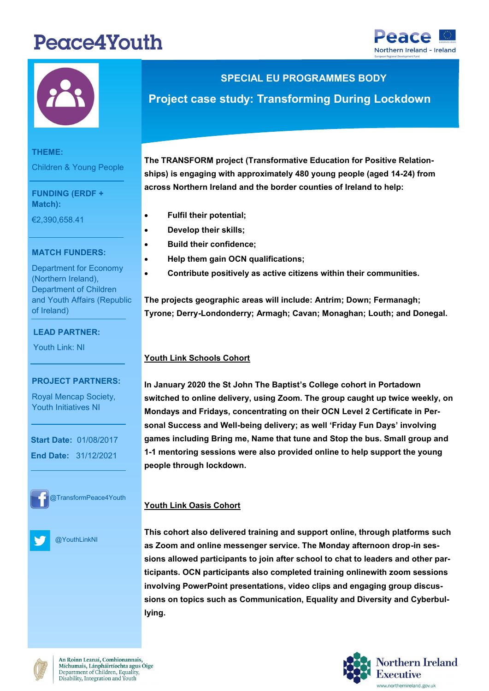# Peace4Youth





**THEME:**

Children & Young People

**FUNDING (ERDF + Match):** 

€2,390,658.41

## **MATCH FUNDERS:**

Department for Economy (Northern Ireland), of Ireland) Department of Children and Youth Affairs (Republic

## **LEAD PARTNER:**

Youth Link: NI

#### **PROJECT PARTNERS:**

**LEAD PARTNER:**

Royal Mencap Society, Youth Initiatives NI

 **Start Date:** 01/08/2017  **End Date:** 31/12/2021



@TransformPeace4Youth

@YouthLinkNI

## **SPECIAL EU PROGRAMMES BODY**

## **Project case study: Transforming During Lockdown**

**The TRANSFORM project (Transformative Education for Positive Relationships) is engaging with approximately 480 young people (aged 14-24) from across Northern Ireland and the border counties of Ireland to help:**

- **Fulfil their potential;**
- **Develop their skills;**
- **Build their confidence;**
- **Help them gain OCN qualifications;**
- **Contribute positively as active citizens within their communities.**

**The projects geographic areas will include: Antrim; Down; Fermanagh; Tyrone; Derry-Londonderry; Armagh; Cavan; Monaghan; Louth; and Donegal.**

## **Youth Link Schools Cohort**

**In January 2020 the St John The Baptist's College cohort in Portadown switched to online delivery, using Zoom. The group caught up twice weekly, on Mondays and Fridays, concentrating on their OCN Level 2 Certificate in Personal Success and Well-being delivery; as well 'Friday Fun Days' involving games including Bring me, Name that tune and Stop the bus. Small group and 1-1 mentoring sessions were also provided online to help support the young people through lockdown.**

## **Youth Link Oasis Cohort**

**This cohort also delivered training and support online, through platforms such as Zoom and online messenger service. The Monday afternoon drop-in sessions allowed participants to join after school to chat to leaders and other participants. OCN participants also completed training onlinewith zoom sessions involving PowerPoint presentations, video clips and engaging group discussions on topics such as Communication, Equality and Diversity and Cyberbullying.** 



An Roinn Leanaí, Comhionannais Míchumais, Lánpháirtíochta agus Óige Department of Children, Equality, Disability, Integration and Youth